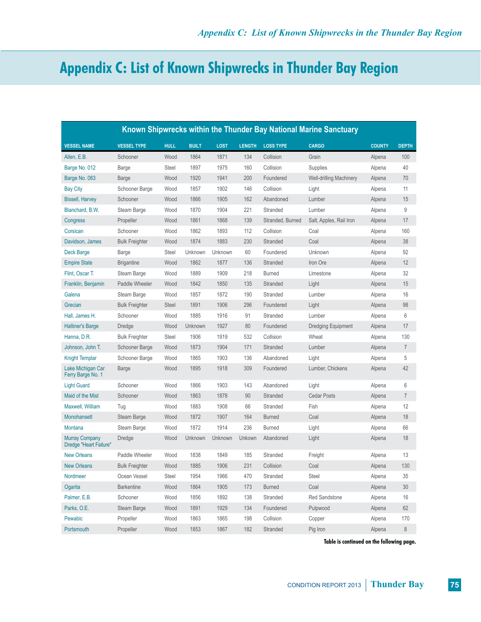## **Appendix C: List of Known Shipwrecks in Thunder Bay Region**

| Known Shipwrecks within the Thunder Bay National Marine Sanctuary |                       |              |              |             |               |                  |                                |               |                |
|-------------------------------------------------------------------|-----------------------|--------------|--------------|-------------|---------------|------------------|--------------------------------|---------------|----------------|
| <b>VESSEL NAME</b>                                                | <b>VESSEL TYPE</b>    | <b>HULL</b>  | <b>BUILT</b> | <b>LOST</b> | <b>LENGTH</b> | <b>LOSS TYPE</b> | <b>CARGO</b>                   | <b>COUNTY</b> | <b>DEPTH</b>   |
| Allen, E.B.                                                       | Schooner              | Wood         | 1864         | 1871        | 134           | Collision        | Grain                          | Alpena        | 100            |
| Barge No. 012                                                     | Barge                 | Steel        | 1897         | 1975        | 160           | Collision        | Supplies                       | Alpena        | 40             |
| Barge No. 083                                                     | Barge                 | Wood         | 1920         | 1941        | 200           | Foundered        | <b>Well-drilling Machinery</b> | Alpena        | 70             |
| <b>Bay City</b>                                                   | Schooner Barge        | Wood         | 1857         | 1902        | 146           | Collision        | Light                          | Alpena        | 11             |
| <b>Bissell, Harvey</b>                                            | Schooner              | Wood         | 1866         | 1905        | 162           | Abandoned        | Lumber                         | Alpena        | 15             |
| Blanchard, B.W.                                                   | Steam Barge           | Wood         | 1870         | 1904        | 221           | Stranded         | Lumber                         | Alpena        | 9              |
| Congress                                                          | Propeller             | Wood         | 1861         | 1868        | 139           | Stranded, Burned | Salt, Apples, Rail Iron        | Alpena        | 17             |
| Corsican                                                          | Schooner              | Wood         | 1862         | 1893        | 112           | Collision        | Coal                           | Alpena        | 160            |
| Davidson, James                                                   | <b>Bulk Freighter</b> | Wood         | 1874         | 1883        | 230           | Stranded         | Coal                           | Alpena        | 38             |
| Deck Barge                                                        | Barge                 | <b>Steel</b> | Unknown      | Unknown     | 60            | Foundered        | Unknown                        | Alpena        | 92             |
| <b>Empire State</b>                                               | <b>Brigantine</b>     | Wood         | 1862         | 1877        | 136           | Stranded         | Iron Ore                       | Alpena        | 12             |
| Flint, Oscar T.                                                   | Steam Barge           | Wood         | 1889         | 1909        | 218           | <b>Burned</b>    | Limestone                      | Alpena        | 32             |
| Franklin, Benjamin                                                | Paddle Wheeler        | Wood         | 1842         | 1850        | 135           | Stranded         | Light                          | Alpena        | 15             |
| Galena                                                            | Steam Barge           | Wood         | 1857         | 1872        | 190           | Stranded         | Lumber                         | Alpena        | 16             |
| Grecian                                                           | <b>Bulk Freighter</b> | <b>Steel</b> | 1891         | 1906        | 296           | Foundered        | Light                          | Alpena        | 98             |
| Hall, James H.                                                    | Schooner              | Wood         | 1885         | 1916        | 91            | Stranded         | Lumber                         | Alpena        | 6              |
| <b>Haltiner's Barge</b>                                           | Dredge                | Wood         | Unknown      | 1927        | 80            | Foundered        | Dredging Equipment             | Alpena        | 17             |
| Hanna, D.R.                                                       | <b>Bulk Freighter</b> | <b>Steel</b> | 1906         | 1919        | 532           | Collision        | Wheat                          | Alpena        | 130            |
| Johnson, John T.                                                  | Schooner Barge        | Wood         | 1873         | 1904        | 171           | Stranded         | Lumber                         | Alpena        | $\overline{7}$ |
| <b>Knight Templar</b>                                             | Schooner Barge        | Wood         | 1865         | 1903        | 136           | Abandoned        | Light                          | Alpena        | 5              |
| Lake Michigan Car<br>Ferry Barge No. 1                            | Barge                 | Wood         | 1895         | 1918        | 309           | Foundered        | Lumber, Chickens               | Alpena        | 42             |
| <b>Light Guard</b>                                                | Schooner              | Wood         | 1866         | 1903        | 143           | Abandoned        | Light                          | Alpena        | 6              |
| <b>Maid of the Mist</b>                                           | Schooner              | Wood         | 1863         | 1878        | 90            | Stranded         | <b>Cedar Posts</b>             | Alpena        | $\overline{7}$ |
| Maxwell, William                                                  | Tug                   | Wood         | 1883         | 1908        | 66            | Stranded         | Fish                           | Alpena        | 12             |
| <b>Monohansett</b>                                                | Steam Barge           | Wood         | 1872         | 1907        | 164           | <b>Burned</b>    | Coal                           | Alpena        | 18             |
| <b>Montana</b>                                                    | Steam Barge           | Wood         | 1872         | 1914        | 236           | <b>Burned</b>    | Light                          | Alpena        | 66             |
| <b>Murray Company</b><br>Dredge "Heart Failure"                   | Dredge                | Wood         | Unknown      | Unknown     | Unkown        | Abandoned        | Light                          | Alpena        | 18             |
| <b>New Orleans</b>                                                | Paddle Wheeler        | Wood         | 1838         | 1849        | 185           | Stranded         | Freight                        | Alpena        | 13             |
| <b>New Orleans</b>                                                | <b>Bulk Freighter</b> | Wood         | 1885         | 1906        | 231           | Collision        | Coal                           | Alpena        | 130            |
| Nordmeer                                                          | Ocean Vessel          | Steel        | 1954         | 1966        | 470           | Stranded         | Steel                          | Alpena        | 35             |
| Ogarita                                                           | <b>Barkentine</b>     | Wood         | 1864         | 1905        | 173           | <b>Burned</b>    | Coal                           | Alpena        | 30             |
| Palmer, E.B.                                                      | Schooner              | Wood         | 1856         | 1892        | 138           | Stranded         | Red Sandstone                  | Alpena        | 16             |
| Parks, O.E.                                                       | Steam Barge           | Wood         | 1891         | 1929        | 134           | Foundered        | Pulpwood                       | Alpena        | 62             |
| Pewabic                                                           | Propeller             | Wood         | 1863         | 1865        | 198           | Collision        | Copper                         | Alpena        | 170            |
| Portsmouth                                                        | Propeller             | Wood         | 1853         | 1867        | 182           | Stranded         | Pig Iron                       | Alpena        | 8              |

**Table is continued on the following page.**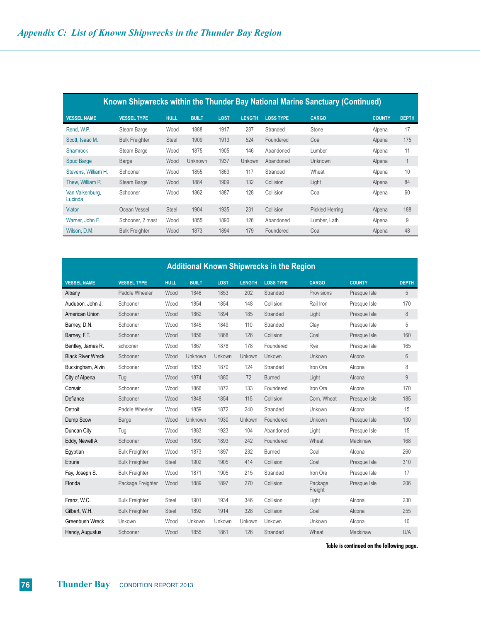| Known Shipwrecks within the Thunder Bay National Marine Sanctuary (Continued) |                       |              |                |             |               |                  |                        |               |              |  |
|-------------------------------------------------------------------------------|-----------------------|--------------|----------------|-------------|---------------|------------------|------------------------|---------------|--------------|--|
| <b>VESSEL NAME</b>                                                            | <b>VESSEL TYPE</b>    | <b>HULL</b>  | <b>BUILT</b>   | <b>LOST</b> | <b>LENGTH</b> | <b>LOSS TYPE</b> | <b>CARGO</b>           | <b>COUNTY</b> | <b>DEPTH</b> |  |
| Rend, W.P.                                                                    | Steam Barge           | Wood         | 1888           | 1917        | 287           | Stranded         | Stone                  | Alpena        | 17           |  |
| Scott, Isaac M.                                                               | <b>Bulk Freighter</b> | <b>Steel</b> | 1909           | 1913        | 524           | Foundered        | Coal                   | Alpena        | 175          |  |
| <b>Shamrock</b>                                                               | Steam Barge           | Wood         | 1875           | 1905        | 146           | Abandoned        | Lumber                 | Alpena        | 11           |  |
| <b>Spud Barge</b>                                                             | Barge                 | Wood         | <b>Unknown</b> | 1937        | Unkown        | Abandoned        | Unknown                | Alpena        |              |  |
| Stevens, William H.                                                           | Schooner              | Wood         | 1855           | 1863        | 117           | Stranded         | Wheat                  | Alpena        | 10           |  |
| Thew. William P.                                                              | Steam Barge           | Wood         | 1884           | 1909        | 132           | Collision        | Light                  | Alpena        | 84           |  |
| Van Valkenburg,<br>Lucinda                                                    | Schooner              | Wood         | 1862           | 1887        | 128           | Collision        | Coal                   | Alpena        | 60           |  |
| Viator                                                                        | Ocean Vessel          | <b>Steel</b> | 1904           | 1935        | 231           | Collision        | <b>Pickled Herring</b> | Alpena        | 188          |  |
| Warner, John F.                                                               | Schooner, 2 mast      | Wood         | 1855           | 1890        | 126           | Abandoned        | Lumber. Lath           | Alpena        | 9            |  |
| Wilson, D.M.                                                                  | <b>Bulk Freighter</b> | Wood         | 1873           | 1894        | 179           | Foundered        | Coal                   | Alpena        | 48           |  |

| <b>Additional Known Shipwrecks in the Region</b> |                       |              |              |             |               |                  |                    |               |              |
|--------------------------------------------------|-----------------------|--------------|--------------|-------------|---------------|------------------|--------------------|---------------|--------------|
| <b>VESSEL NAME</b>                               | <b>VESSEL TYPE</b>    | <b>HULL</b>  | <b>BUILT</b> | <b>LOST</b> | <b>LENGTH</b> | <b>LOSS TYPE</b> | <b>CARGO</b>       | <b>COUNTY</b> | <b>DEPTH</b> |
| Albany                                           | Paddle Wheeler        | Wood         | 1846         | 1853        | 202           | Stranded         | Provisions         | Presque Isle  | 5            |
| Audubon, John J.                                 | Schooner              | Wood         | 1854         | 1854        | 148           | Collision        | Rail Iron          | Presque Isle  | 170          |
| American Union                                   | Schooner              | Wood         | 1862         | 1894        | 185           | Stranded         | Light              | Presque Isle  | 8            |
| Barney, D.N.                                     | Schooner              | Wood         | 1845         | 1849        | 110           | Stranded         | Clay               | Presque Isle  | 5            |
| Barney, F.T.                                     | Schooner              | Wood         | 1856         | 1868        | 126           | Collision        | Coal               | Presque Isle  | 160          |
| Bentley, James R.                                | schooner              | Wood         | 1867         | 1878        | 178           | Foundered        | Rye                | Presque Isle  | 165          |
| <b>Black River Wreck</b>                         | Schooner              | Wood         | Unknown      | Unkown      | Unkown        | Unkown           | Unkown             | Alcona        | 6            |
| Buckingham, Alvin                                | Schooner              | Wood         | 1853         | 1870        | 124           | Stranded         | Iron Ore           | Alcona        | 8            |
| City of Alpena                                   | Tug                   | Wood         | 1874         | 1880        | 72            | <b>Burned</b>    | Light              | Alcona        | $\mathsf g$  |
| Corsair                                          | Schooner              | Wood         | 1866         | 1872        | 133           | Foundered        | Iron Ore           | Alcona        | 170          |
| Defiance                                         | Schooner              | Wood         | 1848         | 1854        | 115           | Collision        | Corn, Wheat        | Presque Isle  | 185          |
| Detroit                                          | Paddle Wheeler        | Wood         | 1859         | 1872        | 240           | Stranded         | Unkown             | Alcona        | 15           |
| Dump Scow                                        | Barge                 | Wood         | Unknown      | 1930        | Unkown        | Foundered        | Unkown             | Presque Isle  | 130          |
| Duncan City                                      | Tug                   | Wood         | 1883         | 1923        | 104           | Abandoned        | Light              | Presque Isle  | 15           |
| Eddy, Newell A.                                  | Schooner              | Wood         | 1890         | 1893        | 242           | Foundered        | Wheat              | Mackinaw      | 168          |
| Egyptian                                         | <b>Bulk Freighter</b> | Wood         | 1873         | 1897        | 232           | <b>Burned</b>    | Coal               | Alcona        | 260          |
| Etruria                                          | <b>Bulk Freighter</b> | <b>Steel</b> | 1902         | 1905        | 414           | Collision        | Coal               | Presque Isle  | 310          |
| Fay, Joseph S.                                   | <b>Bulk Freighter</b> | Wood         | 1871         | 1905        | 215           | Stranded         | Iron Ore           | Presque Isle  | 17           |
| Florida                                          | Package Freighter     | Wood         | 1889         | 1897        | 270           | Collision        | Package<br>Freight | Presque Isle  | 206          |
| Franz, W.C.                                      | <b>Bulk Freighter</b> | <b>Steel</b> | 1901         | 1934        | 346           | Collision        | Light              | Alcona        | 230          |
| Gilbert, W.H.                                    | <b>Bulk Freighter</b> | <b>Steel</b> | 1892         | 1914        | 328           | Collision        | Coal               | Alcona        | 255          |
| Greenbush Wreck                                  | Unkown                | Wood         | Unkown       | Unkown      | Unkown        | Unkown           | Unkown             | Alcona        | 10           |
| Handy, Augustus                                  | Schooner              | Wood         | 1855         | 1861        | 126           | Stranded         | Wheat              | Mackinaw      | U/A          |

**Table is continued on the following page.**